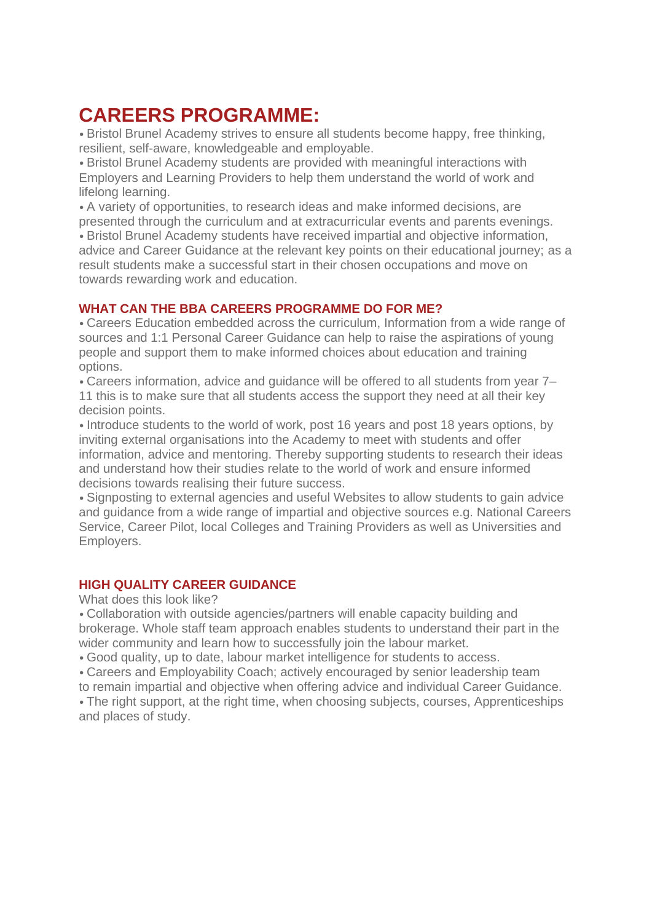#### **CAREERS PROGRAMME:**

• Bristol Brunel Academy strives to ensure all students become happy, free thinking, resilient, self-aware, knowledgeable and employable.

• Bristol Brunel Academy students are provided with meaningful interactions with Employers and Learning Providers to help them understand the world of work and lifelong learning.

• A variety of opportunities, to research ideas and make informed decisions, are presented through the curriculum and at extracurricular events and parents evenings.

• Bristol Brunel Academy students have received impartial and objective information, advice and Career Guidance at the relevant key points on their educational journey; as a result students make a successful start in their chosen occupations and move on towards rewarding work and education.

#### **WHAT CAN THE BBA CAREERS PROGRAMME DO FOR ME?**

• Careers Education embedded across the curriculum, Information from a wide range of sources and 1:1 Personal Career Guidance can help to raise the aspirations of young people and support them to make informed choices about education and training options.

• Careers information, advice and guidance will be offered to all students from year 7– 11 this is to make sure that all students access the support they need at all their key decision points.

• Introduce students to the world of work, post 16 years and post 18 years options, by inviting external organisations into the Academy to meet with students and offer information, advice and mentoring. Thereby supporting students to research their ideas and understand how their studies relate to the world of work and ensure informed decisions towards realising their future success.

• Signposting to external agencies and useful Websites to allow students to gain advice and guidance from a wide range of impartial and objective sources e.g. National Careers Service, Career Pilot, local Colleges and Training Providers as well as Universities and Employers.

#### **HIGH QUALITY CAREER GUIDANCE**

What does this look like?

• Collaboration with outside agencies/partners will enable capacity building and brokerage. Whole staff team approach enables students to understand their part in the wider community and learn how to successfully join the labour market.

• Good quality, up to date, labour market intelligence for students to access.

• Careers and Employability Coach; actively encouraged by senior leadership team to remain impartial and objective when offering advice and individual Career Guidance.

• The right support, at the right time, when choosing subjects, courses, Apprenticeships and places of study.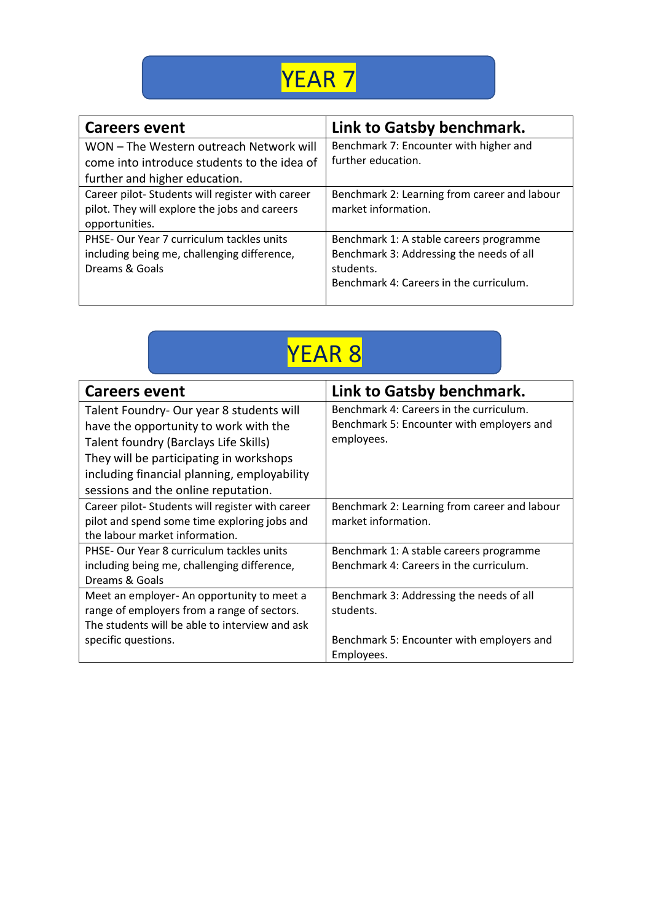## YEAR 7

| <b>Careers event</b>                            | Link to Gatsby benchmark.                    |
|-------------------------------------------------|----------------------------------------------|
| WON - The Western outreach Network will         | Benchmark 7: Encounter with higher and       |
| come into introduce students to the idea of     | further education.                           |
| further and higher education.                   |                                              |
| Career pilot-Students will register with career | Benchmark 2: Learning from career and labour |
| pilot. They will explore the jobs and careers   | market information.                          |
| opportunities.                                  |                                              |
| PHSE- Our Year 7 curriculum tackles units       | Benchmark 1: A stable careers programme      |
| including being me, challenging difference,     | Benchmark 3: Addressing the needs of all     |
| Dreams & Goals                                  | students.                                    |
|                                                 | Benchmark 4: Careers in the curriculum.      |
|                                                 |                                              |

| = |
|---|
|---|

| <b>Careers event</b>                                                                                                                                                                                                                                        | Link to Gatsby benchmark.                                                                          |
|-------------------------------------------------------------------------------------------------------------------------------------------------------------------------------------------------------------------------------------------------------------|----------------------------------------------------------------------------------------------------|
| Talent Foundry- Our year 8 students will<br>have the opportunity to work with the<br>Talent foundry (Barclays Life Skills)<br>They will be participating in workshops<br>including financial planning, employability<br>sessions and the online reputation. | Benchmark 4: Careers in the curriculum.<br>Benchmark 5: Encounter with employers and<br>employees. |
| Career pilot-Students will register with career<br>pilot and spend some time exploring jobs and<br>the labour market information.                                                                                                                           | Benchmark 2: Learning from career and labour<br>market information.                                |
| PHSE- Our Year 8 curriculum tackles units<br>including being me, challenging difference,<br>Dreams & Goals                                                                                                                                                  | Benchmark 1: A stable careers programme<br>Benchmark 4: Careers in the curriculum.                 |
| Meet an employer- An opportunity to meet a<br>range of employers from a range of sectors.<br>The students will be able to interview and ask<br>specific questions.                                                                                          | Benchmark 3: Addressing the needs of all<br>students.<br>Benchmark 5: Encounter with employers and |
|                                                                                                                                                                                                                                                             | Employees.                                                                                         |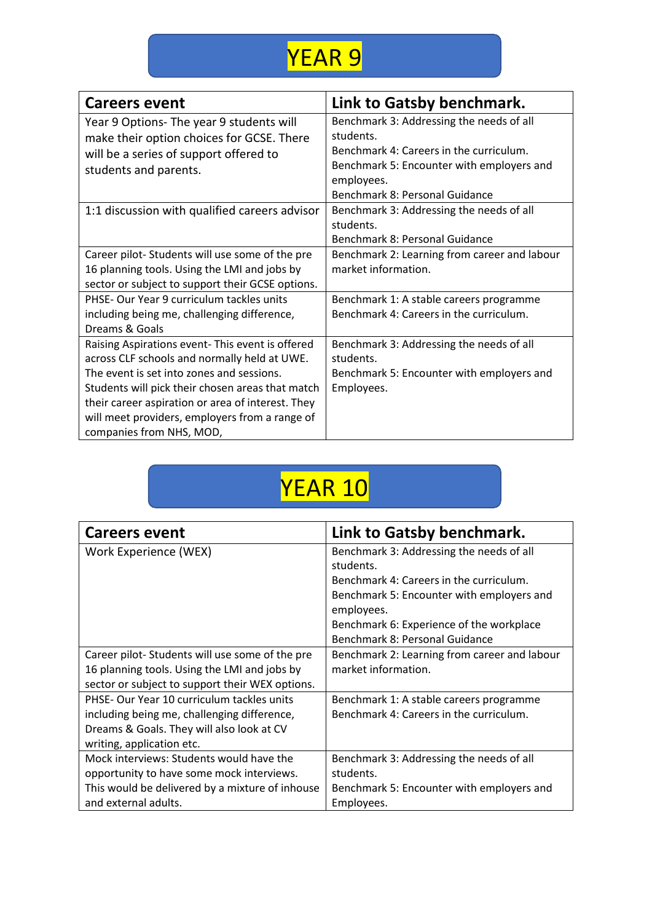

| <b>Careers event</b>                              | Link to Gatsby benchmark.                    |
|---------------------------------------------------|----------------------------------------------|
| Year 9 Options- The year 9 students will          | Benchmark 3: Addressing the needs of all     |
| make their option choices for GCSE. There         | students.                                    |
| will be a series of support offered to            | Benchmark 4: Careers in the curriculum.      |
| students and parents.                             | Benchmark 5: Encounter with employers and    |
|                                                   | employees.                                   |
|                                                   | Benchmark 8: Personal Guidance               |
| 1:1 discussion with qualified careers advisor     | Benchmark 3: Addressing the needs of all     |
|                                                   | students.                                    |
|                                                   | Benchmark 8: Personal Guidance               |
| Career pilot-Students will use some of the pre    | Benchmark 2: Learning from career and labour |
| 16 planning tools. Using the LMI and jobs by      | market information.                          |
| sector or subject to support their GCSE options.  |                                              |
| PHSE- Our Year 9 curriculum tackles units         | Benchmark 1: A stable careers programme      |
| including being me, challenging difference,       | Benchmark 4: Careers in the curriculum.      |
| Dreams & Goals                                    |                                              |
| Raising Aspirations event- This event is offered  | Benchmark 3: Addressing the needs of all     |
| across CLF schools and normally held at UWE.      | students.                                    |
| The event is set into zones and sessions.         | Benchmark 5: Encounter with employers and    |
| Students will pick their chosen areas that match  | Employees.                                   |
| their career aspiration or area of interest. They |                                              |
| will meet providers, employers from a range of    |                                              |
| companies from NHS, MOD,                          |                                              |

# YEAR 10

| <b>Careers event</b>                            | Link to Gatsby benchmark.                               |
|-------------------------------------------------|---------------------------------------------------------|
| Work Experience (WEX)                           | Benchmark 3: Addressing the needs of all                |
|                                                 | students.                                               |
|                                                 | Benchmark 4: Careers in the curriculum.                 |
|                                                 | Benchmark 5: Encounter with employers and<br>employees. |
|                                                 | Benchmark 6: Experience of the workplace                |
|                                                 | Benchmark 8: Personal Guidance                          |
| Career pilot-Students will use some of the pre  | Benchmark 2: Learning from career and labour            |
| 16 planning tools. Using the LMI and jobs by    | market information.                                     |
| sector or subject to support their WEX options. |                                                         |
| PHSE- Our Year 10 curriculum tackles units      | Benchmark 1: A stable careers programme                 |
| including being me, challenging difference,     | Benchmark 4: Careers in the curriculum.                 |
| Dreams & Goals. They will also look at CV       |                                                         |
| writing, application etc.                       |                                                         |
| Mock interviews: Students would have the        | Benchmark 3: Addressing the needs of all                |
| opportunity to have some mock interviews.       | students.                                               |
| This would be delivered by a mixture of inhouse | Benchmark 5: Encounter with employers and               |
| and external adults.                            | Employees.                                              |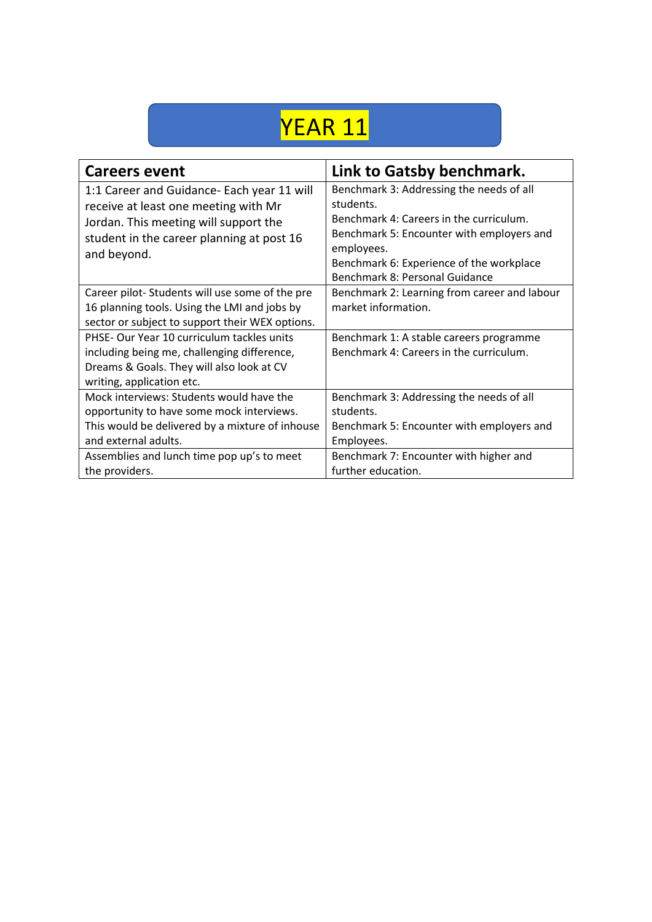### YEAR 11

| <b>Careers event</b>                                                                                                                                                                    | Link to Gatsby benchmark.                                                                                                                                                                                                                 |
|-----------------------------------------------------------------------------------------------------------------------------------------------------------------------------------------|-------------------------------------------------------------------------------------------------------------------------------------------------------------------------------------------------------------------------------------------|
| 1:1 Career and Guidance- Each year 11 will<br>receive at least one meeting with Mr<br>Jordan. This meeting will support the<br>student in the career planning at post 16<br>and beyond. | Benchmark 3: Addressing the needs of all<br>students.<br>Benchmark 4: Careers in the curriculum.<br>Benchmark 5: Encounter with employers and<br>employees.<br>Benchmark 6: Experience of the workplace<br>Benchmark 8: Personal Guidance |
| Career pilot-Students will use some of the pre<br>16 planning tools. Using the LMI and jobs by<br>sector or subject to support their WEX options.                                       | Benchmark 2: Learning from career and labour<br>market information.                                                                                                                                                                       |
| PHSE- Our Year 10 curriculum tackles units<br>including being me, challenging difference,<br>Dreams & Goals. They will also look at CV<br>writing, application etc.                     | Benchmark 1: A stable careers programme<br>Benchmark 4: Careers in the curriculum.                                                                                                                                                        |
| Mock interviews: Students would have the<br>opportunity to have some mock interviews.<br>This would be delivered by a mixture of inhouse<br>and external adults.                        | Benchmark 3: Addressing the needs of all<br>students.<br>Benchmark 5: Encounter with employers and<br>Employees.                                                                                                                          |
| Assemblies and lunch time pop up's to meet<br>the providers.                                                                                                                            | Benchmark 7: Encounter with higher and<br>further education.                                                                                                                                                                              |